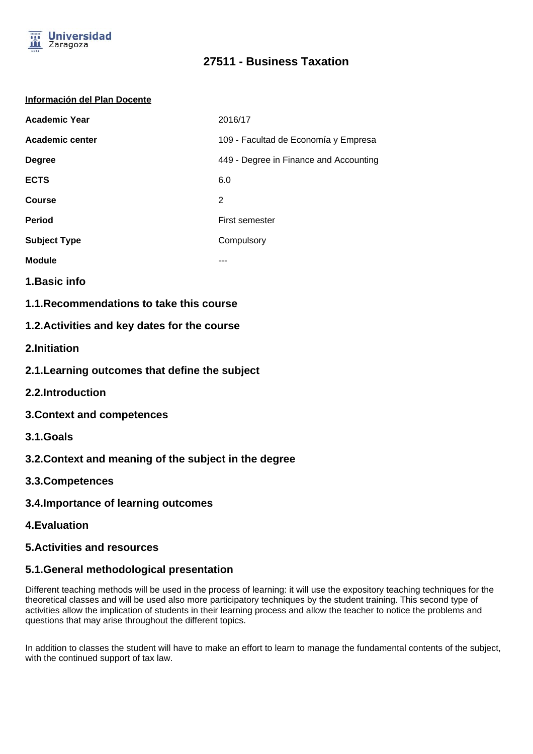

# **27511 - Business Taxation**

#### **Información del Plan Docente**

| <b>Academic Year</b> | 2016/17                                |
|----------------------|----------------------------------------|
| Academic center      | 109 - Facultad de Economía y Empresa   |
| <b>Degree</b>        | 449 - Degree in Finance and Accounting |
| <b>ECTS</b>          | 6.0                                    |
| <b>Course</b>        | 2                                      |
| <b>Period</b>        | First semester                         |
| <b>Subject Type</b>  | Compulsory                             |
| <b>Module</b>        | ---                                    |

- **1.Basic info**
- **1.1.Recommendations to take this course**

### **1.2.Activities and key dates for the course**

- **2.Initiation**
- **2.1.Learning outcomes that define the subject**
- **2.2.Introduction**
- **3.Context and competences**
- **3.1.Goals**
- **3.2.Context and meaning of the subject in the degree**
- **3.3.Competences**
- **3.4.Importance of learning outcomes**
- **4.Evaluation**

### **5.Activities and resources**

# **5.1.General methodological presentation**

Different teaching methods will be used in the process of learning: it will use the expository teaching techniques for the theoretical classes and will be used also more participatory techniques by the student training. This second type of activities allow the implication of students in their learning process and allow the teacher to notice the problems and questions that may arise throughout the different topics.

In addition to classes the student will have to make an effort to learn to manage the fundamental contents of the subject, with the continued support of tax law.